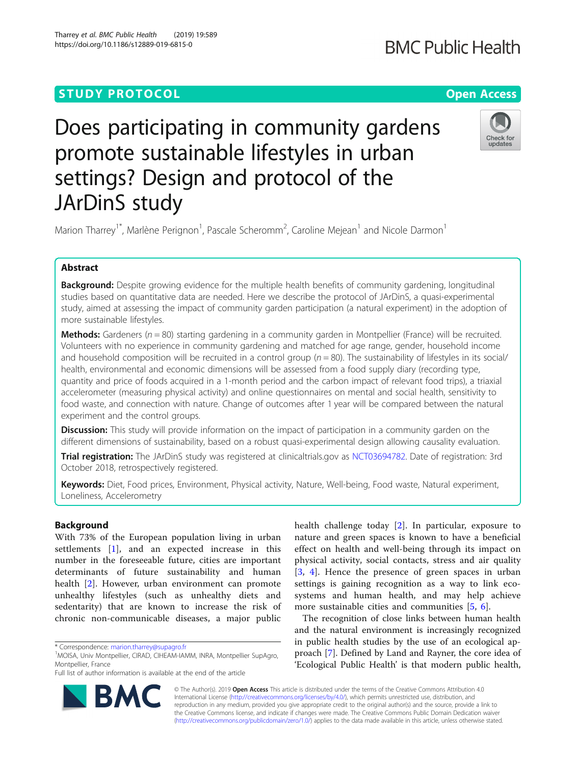# **STUDY PROTOCOL CONSUMING THE RESERVE ACCESS**

JArDinS study

# **BMC Public Health**

# Does participating in community gardens promote sustainable lifestyles in urban settings? Design and protocol of the



Marion Tharrey<sup>1\*</sup>, Marlène Perignon<sup>1</sup>, Pascale Scheromm<sup>2</sup>, Caroline Mejean<sup>1</sup> and Nicole Darmon<sup>1</sup>

# Abstract

**Background:** Despite growing evidence for the multiple health benefits of community gardening, longitudinal studies based on quantitative data are needed. Here we describe the protocol of JArDinS, a quasi-experimental study, aimed at assessing the impact of community garden participation (a natural experiment) in the adoption of more sustainable lifestyles.

**Methods:** Gardeners ( $n = 80$ ) starting gardening in a community garden in Montpellier (France) will be recruited. Volunteers with no experience in community gardening and matched for age range, gender, household income and household composition will be recruited in a control group ( $n = 80$ ). The sustainability of lifestyles in its social/ health, environmental and economic dimensions will be assessed from a food supply diary (recording type, quantity and price of foods acquired in a 1-month period and the carbon impact of relevant food trips), a triaxial accelerometer (measuring physical activity) and online questionnaires on mental and social health, sensitivity to food waste, and connection with nature. Change of outcomes after 1 year will be compared between the natural experiment and the control groups.

**Discussion:** This study will provide information on the impact of participation in a community garden on the different dimensions of sustainability, based on a robust quasi-experimental design allowing causality evaluation.

Trial registration: The JArDinS study was registered at clinicaltrials.gov as [NCT03694782](https://clinicaltrials.gov/ct2/show/NCT03694782). Date of registration: 3rd October 2018, retrospectively registered.

Keywords: Diet, Food prices, Environment, Physical activity, Nature, Well-being, Food waste, Natural experiment, Loneliness, Accelerometry

# Background

With 73% of the European population living in urban settlements [\[1](#page-7-0)], and an expected increase in this number in the foreseeable future, cities are important determinants of future sustainability and human health [\[2](#page-7-0)]. However, urban environment can promote unhealthy lifestyles (such as unhealthy diets and sedentarity) that are known to increase the risk of chronic non-communicable diseases, a major public



The recognition of close links between human health and the natural environment is increasingly recognized in public health studies by the use of an ecological approach [\[7\]](#page-8-0). Defined by Land and Rayner, the core idea of 'Ecological Public Health' is that modern public health,



© The Author(s). 2019 Open Access This article is distributed under the terms of the Creative Commons Attribution 4.0 International License [\(http://creativecommons.org/licenses/by/4.0/](http://creativecommons.org/licenses/by/4.0/)), which permits unrestricted use, distribution, and reproduction in any medium, provided you give appropriate credit to the original author(s) and the source, provide a link to the Creative Commons license, and indicate if changes were made. The Creative Commons Public Domain Dedication waiver [\(http://creativecommons.org/publicdomain/zero/1.0/](http://creativecommons.org/publicdomain/zero/1.0/)) applies to the data made available in this article, unless otherwise stated.

<sup>\*</sup> Correspondence: [marion.tharrey@supagro.fr](mailto:marion.tharrey@supagro.fr) <sup>1</sup>

MOISA, Univ Montpellier, CIRAD, CIHEAM-IAMM, INRA, Montpellier SupAgro, Montpellier, France

Full list of author information is available at the end of the article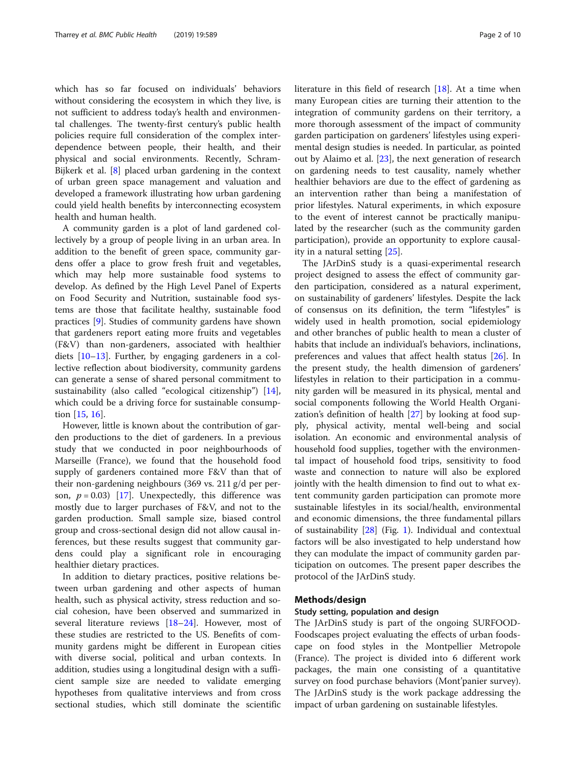which has so far focused on individuals' behaviors without considering the ecosystem in which they live, is not sufficient to address today's health and environmental challenges. The twenty-first century's public health policies require full consideration of the complex interdependence between people, their health, and their physical and social environments. Recently, Schram-Bijkerk et al. [[8\]](#page-8-0) placed urban gardening in the context of urban green space management and valuation and developed a framework illustrating how urban gardening could yield health benefits by interconnecting ecosystem health and human health.

A community garden is a plot of land gardened collectively by a group of people living in an urban area. In addition to the benefit of green space, community gardens offer a place to grow fresh fruit and vegetables, which may help more sustainable food systems to develop. As defined by the High Level Panel of Experts on Food Security and Nutrition, sustainable food systems are those that facilitate healthy, sustainable food practices [\[9](#page-8-0)]. Studies of community gardens have shown that gardeners report eating more fruits and vegetables (F&V) than non-gardeners, associated with healthier diets [\[10](#page-8-0)–[13](#page-8-0)]. Further, by engaging gardeners in a collective reflection about biodiversity, community gardens can generate a sense of shared personal commitment to sustainability (also called "ecological citizenship") [\[14](#page-8-0)], which could be a driving force for sustainable consumption [\[15,](#page-8-0) [16\]](#page-8-0).

However, little is known about the contribution of garden productions to the diet of gardeners. In a previous study that we conducted in poor neighbourhoods of Marseille (France), we found that the household food supply of gardeners contained more F&V than that of their non-gardening neighbours (369 vs. 211 g/d per person,  $p = 0.03$ ) [\[17](#page-8-0)]. Unexpectedly, this difference was mostly due to larger purchases of F&V, and not to the garden production. Small sample size, biased control group and cross-sectional design did not allow causal inferences, but these results suggest that community gardens could play a significant role in encouraging healthier dietary practices.

In addition to dietary practices, positive relations between urban gardening and other aspects of human health, such as physical activity, stress reduction and social cohesion, have been observed and summarized in several literature reviews [\[18](#page-8-0)–[24\]](#page-8-0). However, most of these studies are restricted to the US. Benefits of community gardens might be different in European cities with diverse social, political and urban contexts. In addition, studies using a longitudinal design with a sufficient sample size are needed to validate emerging hypotheses from qualitative interviews and from cross sectional studies, which still dominate the scientific literature in this field of research [\[18](#page-8-0)]. At a time when many European cities are turning their attention to the integration of community gardens on their territory, a more thorough assessment of the impact of community garden participation on gardeners' lifestyles using experimental design studies is needed. In particular, as pointed out by Alaimo et al. [\[23](#page-8-0)], the next generation of research on gardening needs to test causality, namely whether healthier behaviors are due to the effect of gardening as an intervention rather than being a manifestation of prior lifestyles. Natural experiments, in which exposure to the event of interest cannot be practically manipulated by the researcher (such as the community garden participation), provide an opportunity to explore causality in a natural setting [\[25](#page-8-0)].

The JArDinS study is a quasi-experimental research project designed to assess the effect of community garden participation, considered as a natural experiment, on sustainability of gardeners' lifestyles. Despite the lack of consensus on its definition, the term "lifestyles" is widely used in health promotion, social epidemiology and other branches of public health to mean a cluster of habits that include an individual's behaviors, inclinations, preferences and values that affect health status [[26](#page-8-0)]. In the present study, the health dimension of gardeners' lifestyles in relation to their participation in a community garden will be measured in its physical, mental and social components following the World Health Organization's definition of health [[27](#page-8-0)] by looking at food supply, physical activity, mental well-being and social isolation. An economic and environmental analysis of household food supplies, together with the environmental impact of household food trips, sensitivity to food waste and connection to nature will also be explored jointly with the health dimension to find out to what extent community garden participation can promote more sustainable lifestyles in its social/health, environmental and economic dimensions, the three fundamental pillars of sustainability [[28](#page-8-0)] (Fig. [1\)](#page-2-0). Individual and contextual factors will be also investigated to help understand how they can modulate the impact of community garden participation on outcomes. The present paper describes the protocol of the JArDinS study.

# Methods/design

# Study setting, population and design

The JArDinS study is part of the ongoing SURFOOD-Foodscapes project evaluating the effects of urban foodscape on food styles in the Montpellier Metropole (France). The project is divided into 6 different work packages, the main one consisting of a quantitative survey on food purchase behaviors (Mont'panier survey). The JArDinS study is the work package addressing the impact of urban gardening on sustainable lifestyles.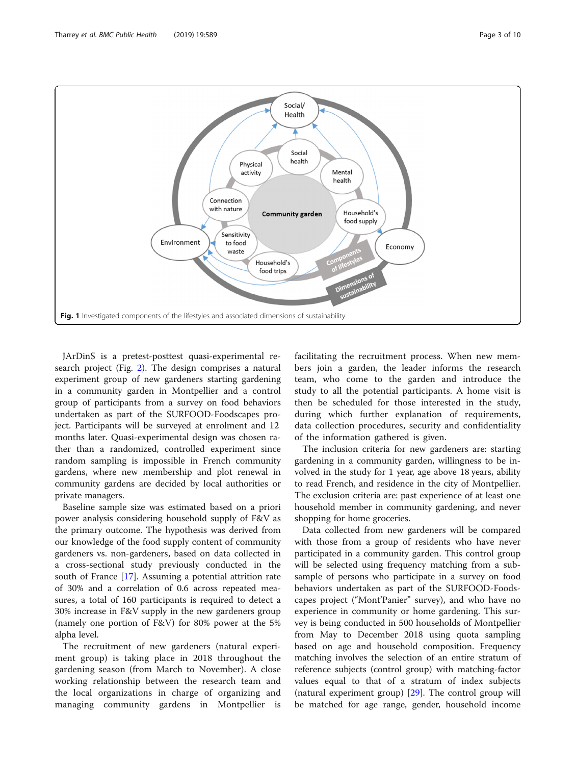<span id="page-2-0"></span>

JArDinS is a pretest-posttest quasi-experimental research project (Fig. [2\)](#page-3-0). The design comprises a natural experiment group of new gardeners starting gardening in a community garden in Montpellier and a control group of participants from a survey on food behaviors undertaken as part of the SURFOOD-Foodscapes project. Participants will be surveyed at enrolment and 12 months later. Quasi-experimental design was chosen rather than a randomized, controlled experiment since random sampling is impossible in French community gardens, where new membership and plot renewal in community gardens are decided by local authorities or private managers.

Baseline sample size was estimated based on a priori power analysis considering household supply of F&V as the primary outcome. The hypothesis was derived from our knowledge of the food supply content of community gardeners vs. non-gardeners, based on data collected in a cross-sectional study previously conducted in the south of France [\[17](#page-8-0)]. Assuming a potential attrition rate of 30% and a correlation of 0.6 across repeated measures, a total of 160 participants is required to detect a 30% increase in F&V supply in the new gardeners group (namely one portion of F&V) for 80% power at the 5% alpha level.

The recruitment of new gardeners (natural experiment group) is taking place in 2018 throughout the gardening season (from March to November). A close working relationship between the research team and the local organizations in charge of organizing and managing community gardens in Montpellier is

facilitating the recruitment process. When new members join a garden, the leader informs the research team, who come to the garden and introduce the study to all the potential participants. A home visit is then be scheduled for those interested in the study, during which further explanation of requirements, data collection procedures, security and confidentiality of the information gathered is given.

The inclusion criteria for new gardeners are: starting gardening in a community garden, willingness to be involved in the study for 1 year, age above 18 years, ability to read French, and residence in the city of Montpellier. The exclusion criteria are: past experience of at least one household member in community gardening, and never shopping for home groceries.

Data collected from new gardeners will be compared with those from a group of residents who have never participated in a community garden. This control group will be selected using frequency matching from a subsample of persons who participate in a survey on food behaviors undertaken as part of the SURFOOD-Foodscapes project ("Mont'Panier" survey), and who have no experience in community or home gardening. This survey is being conducted in 500 households of Montpellier from May to December 2018 using quota sampling based on age and household composition. Frequency matching involves the selection of an entire stratum of reference subjects (control group) with matching-factor values equal to that of a stratum of index subjects (natural experiment group) [\[29](#page-8-0)]. The control group will be matched for age range, gender, household income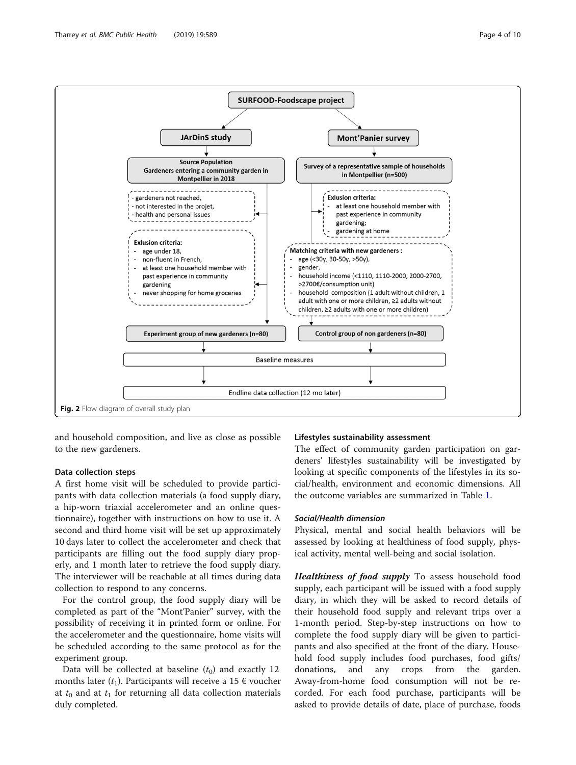<span id="page-3-0"></span>

and household composition, and live as close as possible to the new gardeners.

### Data collection steps

A first home visit will be scheduled to provide participants with data collection materials (a food supply diary, a hip-worn triaxial accelerometer and an online questionnaire), together with instructions on how to use it. A second and third home visit will be set up approximately 10 days later to collect the accelerometer and check that participants are filling out the food supply diary properly, and 1 month later to retrieve the food supply diary. The interviewer will be reachable at all times during data collection to respond to any concerns.

For the control group, the food supply diary will be completed as part of the "Mont'Panier" survey, with the possibility of receiving it in printed form or online. For the accelerometer and the questionnaire, home visits will be scheduled according to the same protocol as for the experiment group.

Data will be collected at baseline  $(t_0)$  and exactly 12 months later  $(t_1)$ . Participants will receive a 15  $\epsilon$  voucher at  $t_0$  and at  $t_1$  for returning all data collection materials duly completed.

#### Lifestyles sustainability assessment

The effect of community garden participation on gardeners' lifestyles sustainability will be investigated by looking at specific components of the lifestyles in its social/health, environment and economic dimensions. All the outcome variables are summarized in Table [1.](#page-4-0)

# Social/Health dimension

Physical, mental and social health behaviors will be assessed by looking at healthiness of food supply, physical activity, mental well-being and social isolation.

Healthiness of food supply To assess household food supply, each participant will be issued with a food supply diary, in which they will be asked to record details of their household food supply and relevant trips over a 1-month period. Step-by-step instructions on how to complete the food supply diary will be given to participants and also specified at the front of the diary. Household food supply includes food purchases, food gifts/ donations, and any crops from the garden. Away-from-home food consumption will not be recorded. For each food purchase, participants will be asked to provide details of date, place of purchase, foods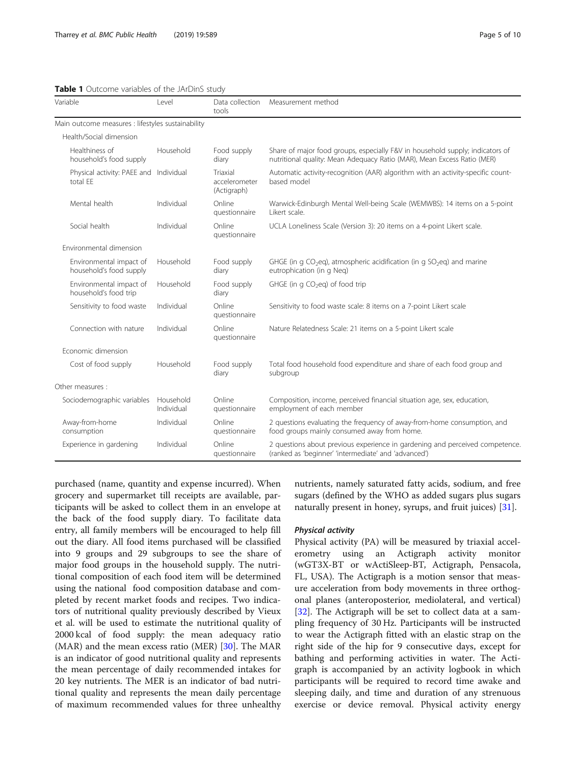#### <span id="page-4-0"></span>Table 1 Outcome variables of the JArDinS study

| Variable                                           | l evel                  | Data collection<br>tools                 | Measurement method                                                                                                                                       |
|----------------------------------------------------|-------------------------|------------------------------------------|----------------------------------------------------------------------------------------------------------------------------------------------------------|
| Main outcome measures : lifestyles sustainability  |                         |                                          |                                                                                                                                                          |
| Health/Social dimension                            |                         |                                          |                                                                                                                                                          |
| Healthiness of<br>household's food supply          | Household               | Food supply<br>diary                     | Share of major food groups, especially F&V in household supply; indicators of<br>nutritional quality: Mean Adequacy Ratio (MAR), Mean Excess Ratio (MER) |
| Physical activity: PAEE and Individual<br>total FF |                         | Triaxial<br>accelerometer<br>(Actigraph) | Automatic activity-recognition (AAR) algorithm with an activity-specific count-<br>based model                                                           |
| Mental health                                      | Individual              | Online<br>questionnaire                  | Warwick-Edinburgh Mental Well-being Scale (WEMWBS): 14 items on a 5-point<br>Likert scale.                                                               |
| Social health                                      | Individual              | Online<br>questionnaire                  | UCLA Loneliness Scale (Version 3): 20 items on a 4-point Likert scale.                                                                                   |
| Environmental dimension                            |                         |                                          |                                                                                                                                                          |
| Environmental impact of<br>household's food supply | Household               | Food supply<br>diary                     | GHGE (in q CO <sub>2</sub> eq), atmospheric acidification (in q SO <sub>2</sub> eq) and marine<br>eutrophication (in q Neq)                              |
| Environmental impact of<br>household's food trip   | Household               | Food supply<br>diary                     | GHGE (in $q$ CO <sub>2</sub> eq) of food trip                                                                                                            |
| Sensitivity to food waste                          | Individual              | Online<br>questionnaire                  | Sensitivity to food waste scale: 8 items on a 7-point Likert scale                                                                                       |
| Connection with nature                             | Individual              | Online<br>questionnaire                  | Nature Relatedness Scale: 21 items on a 5-point Likert scale                                                                                             |
| Economic dimension                                 |                         |                                          |                                                                                                                                                          |
| Cost of food supply                                | Household               | Food supply<br>diary                     | Total food household food expenditure and share of each food group and<br>subgroup                                                                       |
| Other measures:                                    |                         |                                          |                                                                                                                                                          |
| Sociodemographic variables                         | Household<br>Individual | Online<br>questionnaire                  | Composition, income, perceived financial situation age, sex, education,<br>employment of each member                                                     |
| Away-from-home<br>consumption                      | Individual              | Online<br>questionnaire                  | 2 questions evaluating the frequency of away-from-home consumption, and<br>food groups mainly consumed away from home.                                   |
| Experience in gardening                            | Individual              | Online<br>questionnaire                  | 2 questions about previous experience in gardening and perceived competence<br>(ranked as 'beginner' 'intermediate' and 'advanced')                      |

purchased (name, quantity and expense incurred). When grocery and supermarket till receipts are available, participants will be asked to collect them in an envelope at the back of the food supply diary. To facilitate data entry, all family members will be encouraged to help fill out the diary. All food items purchased will be classified into 9 groups and 29 subgroups to see the share of major food groups in the household supply. The nutritional composition of each food item will be determined using the national food composition database and completed by recent market foods and recipes. Two indicators of nutritional quality previously described by Vieux et al. will be used to estimate the nutritional quality of 2000 kcal of food supply: the mean adequacy ratio  $(MAR)$  and the mean excess ratio (MER) [\[30\]](#page-8-0). The MAR is an indicator of good nutritional quality and represents the mean percentage of daily recommended intakes for 20 key nutrients. The MER is an indicator of bad nutritional quality and represents the mean daily percentage of maximum recommended values for three unhealthy

nutrients, namely saturated fatty acids, sodium, and free sugars (defined by the WHO as added sugars plus sugars naturally present in honey, syrups, and fruit juices) [\[31](#page-8-0)].

#### Physical activity

Physical activity (PA) will be measured by triaxial accelerometry using an Actigraph activity monitor (wGT3X-BT or wActiSleep-BT, Actigraph, Pensacola, FL, USA). The Actigraph is a motion sensor that measure acceleration from body movements in three orthogonal planes (anteroposterior, mediolateral, and vertical) [[32\]](#page-8-0). The Actigraph will be set to collect data at a sampling frequency of 30 Hz. Participants will be instructed to wear the Actigraph fitted with an elastic strap on the right side of the hip for 9 consecutive days, except for bathing and performing activities in water. The Actigraph is accompanied by an activity logbook in which participants will be required to record time awake and sleeping daily, and time and duration of any strenuous exercise or device removal. Physical activity energy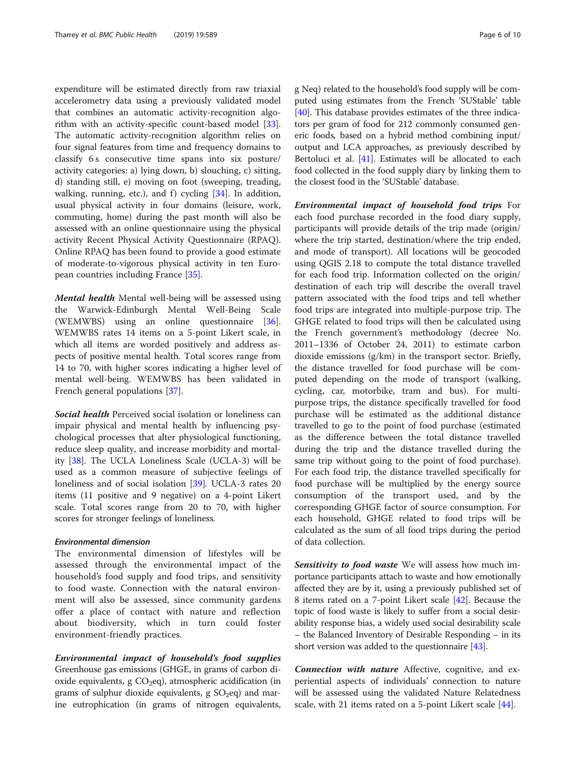expenditure will be estimated directly from raw triaxial accelerometry data using a previously validated model that combines an automatic activity-recognition algorithm with an activity-specific count-based model [\[33](#page-8-0)]. The automatic activity-recognition algorithm relies on four signal features from time and frequency domains to classify 6 s consecutive time spans into six posture/ activity categories: a) lying down, b) slouching, c) sitting, d) standing still, e) moving on foot (sweeping, treading, walking, running, etc.), and  $f$  cycling  $[34]$  $[34]$ . In addition, usual physical activity in four domains (leisure, work, commuting, home) during the past month will also be assessed with an online questionnaire using the physical activity Recent Physical Activity Questionnaire (RPAQ). Online RPAQ has been found to provide a good estimate of moderate-to-vigorous physical activity in ten European countries including France [\[35](#page-8-0)].

Mental health Mental well-being will be assessed using the Warwick-Edinburgh Mental Well-Being Scale (WEMWBS) using an online questionnaire [\[36](#page-8-0)]. WEMWBS rates 14 items on a 5-point Likert scale, in which all items are worded positively and address aspects of positive mental health. Total scores range from 14 to 70, with higher scores indicating a higher level of mental well-being. WEMWBS has been validated in French general populations [\[37](#page-8-0)].

Social health Perceived social isolation or loneliness can impair physical and mental health by influencing psychological processes that alter physiological functioning, reduce sleep quality, and increase morbidity and mortality [\[38\]](#page-8-0). The UCLA Loneliness Scale (UCLA-3) will be used as a common measure of subjective feelings of loneliness and of social isolation [[39](#page-8-0)]. UCLA-3 rates 20 items (11 positive and 9 negative) on a 4-point Likert scale. Total scores range from 20 to 70, with higher scores for stronger feelings of loneliness.

#### Environmental dimension

The environmental dimension of lifestyles will be assessed through the environmental impact of the household's food supply and food trips, and sensitivity to food waste. Connection with the natural environment will also be assessed, since community gardens offer a place of contact with nature and reflection about biodiversity, which in turn could foster environment-friendly practices.

Environmental impact of household's food supplies Greenhouse gas emissions (GHGE, in grams of carbon dioxide equivalents, g  $CO<sub>2</sub>$ eq), atmospheric acidification (in grams of sulphur dioxide equivalents, g  $SO<sub>2</sub>eq$ ) and marine eutrophication (in grams of nitrogen equivalents, g Neq) related to the household's food supply will be computed using estimates from the French 'SUStable' table [[40](#page-8-0)]. This database provides estimates of the three indicators per gram of food for 212 commonly consumed generic foods, based on a hybrid method combining input/ output and LCA approaches, as previously described by Bertoluci et al. [[41](#page-8-0)]. Estimates will be allocated to each food collected in the food supply diary by linking them to the closest food in the 'SUStable' database.

Environmental impact of household food trips For each food purchase recorded in the food diary supply, participants will provide details of the trip made (origin/ where the trip started, destination/where the trip ended, and mode of transport). All locations will be geocoded using QGIS 2.18 to compute the total distance travelled for each food trip. Information collected on the origin/ destination of each trip will describe the overall travel pattern associated with the food trips and tell whether food trips are integrated into multiple-purpose trip. The GHGE related to food trips will then be calculated using the French government's methodology (decree No. 2011–1336 of October 24, 2011) to estimate carbon dioxide emissions (g/km) in the transport sector. Briefly, the distance travelled for food purchase will be computed depending on the mode of transport (walking, cycling, car, motorbike, tram and bus). For multipurpose trips, the distance specifically travelled for food purchase will be estimated as the additional distance travelled to go to the point of food purchase (estimated as the difference between the total distance travelled during the trip and the distance travelled during the same trip without going to the point of food purchase). For each food trip, the distance travelled specifically for food purchase will be multiplied by the energy source consumption of the transport used, and by the corresponding GHGE factor of source consumption. For each household, GHGE related to food trips will be calculated as the sum of all food trips during the period of data collection.

Sensitivity to food waste We will assess how much importance participants attach to waste and how emotionally affected they are by it, using a previously published set of 8 items rated on a 7-point Likert scale [[42](#page-8-0)]. Because the topic of food waste is likely to suffer from a social desirability response bias, a widely used social desirability scale – the Balanced Inventory of Desirable Responding – in its short version was added to the questionnaire [[43](#page-8-0)].

Connection with nature Affective, cognitive, and experiential aspects of individuals' connection to nature will be assessed using the validated Nature Relatedness scale, with 21 items rated on a 5-point Likert scale [\[44](#page-8-0)].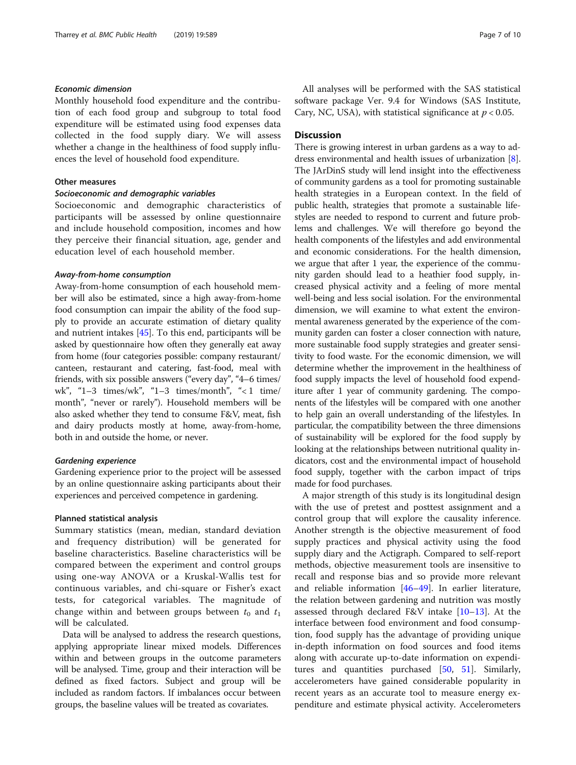# Economic dimension

Monthly household food expenditure and the contribution of each food group and subgroup to total food expenditure will be estimated using food expenses data collected in the food supply diary. We will assess whether a change in the healthiness of food supply influences the level of household food expenditure.

# Other measures

# Socioeconomic and demographic variables

Socioeconomic and demographic characteristics of participants will be assessed by online questionnaire and include household composition, incomes and how they perceive their financial situation, age, gender and education level of each household member.

#### Away-from-home consumption

Away-from-home consumption of each household member will also be estimated, since a high away-from-home food consumption can impair the ability of the food supply to provide an accurate estimation of dietary quality and nutrient intakes [\[45\]](#page-8-0). To this end, participants will be asked by questionnaire how often they generally eat away from home (four categories possible: company restaurant/ canteen, restaurant and catering, fast-food, meal with friends, with six possible answers ("every day", "4–6 times/ wk", "1–3 times/wk", "1–3 times/month", "< 1 time/ month", "never or rarely"). Household members will be also asked whether they tend to consume F&V, meat, fish and dairy products mostly at home, away-from-home, both in and outside the home, or never.

### Gardening experience

Gardening experience prior to the project will be assessed by an online questionnaire asking participants about their experiences and perceived competence in gardening.

#### Planned statistical analysis

Summary statistics (mean, median, standard deviation and frequency distribution) will be generated for baseline characteristics. Baseline characteristics will be compared between the experiment and control groups using one-way ANOVA or a Kruskal-Wallis test for continuous variables, and chi-square or Fisher's exact tests, for categorical variables. The magnitude of change within and between groups between  $t_0$  and  $t_1$ will be calculated.

Data will be analysed to address the research questions, applying appropriate linear mixed models. Differences within and between groups in the outcome parameters will be analysed. Time, group and their interaction will be defined as fixed factors. Subject and group will be included as random factors. If imbalances occur between groups, the baseline values will be treated as covariates.

All analyses will be performed with the SAS statistical software package Ver. 9.4 for Windows (SAS Institute, Cary, NC, USA), with statistical significance at  $p < 0.05$ .

# **Discussion**

There is growing interest in urban gardens as a way to address environmental and health issues of urbanization [[8](#page-8-0)]. The JArDinS study will lend insight into the effectiveness of community gardens as a tool for promoting sustainable health strategies in a European context. In the field of public health, strategies that promote a sustainable lifestyles are needed to respond to current and future problems and challenges. We will therefore go beyond the health components of the lifestyles and add environmental and economic considerations. For the health dimension, we argue that after 1 year, the experience of the community garden should lead to a heathier food supply, increased physical activity and a feeling of more mental well-being and less social isolation. For the environmental dimension, we will examine to what extent the environmental awareness generated by the experience of the community garden can foster a closer connection with nature, more sustainable food supply strategies and greater sensitivity to food waste. For the economic dimension, we will determine whether the improvement in the healthiness of food supply impacts the level of household food expenditure after 1 year of community gardening. The components of the lifestyles will be compared with one another to help gain an overall understanding of the lifestyles. In particular, the compatibility between the three dimensions of sustainability will be explored for the food supply by looking at the relationships between nutritional quality indicators, cost and the environmental impact of household food supply, together with the carbon impact of trips made for food purchases.

A major strength of this study is its longitudinal design with the use of pretest and posttest assignment and a control group that will explore the causality inference. Another strength is the objective measurement of food supply practices and physical activity using the food supply diary and the Actigraph. Compared to self-report methods, objective measurement tools are insensitive to recall and response bias and so provide more relevant and reliable information [\[46](#page-8-0)–[49\]](#page-8-0). In earlier literature, the relation between gardening and nutrition was mostly assessed through declared F&V intake [\[10](#page-8-0)–[13](#page-8-0)]. At the interface between food environment and food consumption, food supply has the advantage of providing unique in-depth information on food sources and food items along with accurate up-to-date information on expenditures and quantities purchased [\[50](#page-8-0), [51](#page-8-0)]. Similarly, accelerometers have gained considerable popularity in recent years as an accurate tool to measure energy expenditure and estimate physical activity. Accelerometers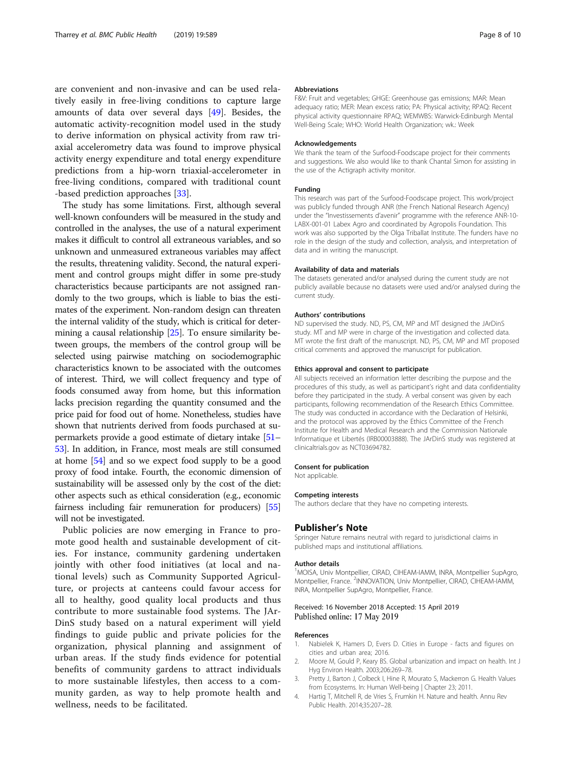<span id="page-7-0"></span>are convenient and non-invasive and can be used relatively easily in free-living conditions to capture large amounts of data over several days [[49](#page-8-0)]. Besides, the automatic activity-recognition model used in the study to derive information on physical activity from raw triaxial accelerometry data was found to improve physical activity energy expenditure and total energy expenditure predictions from a hip-worn triaxial-accelerometer in free-living conditions, compared with traditional count -based prediction approaches [[33\]](#page-8-0).

The study has some limitations. First, although several well-known confounders will be measured in the study and controlled in the analyses, the use of a natural experiment makes it difficult to control all extraneous variables, and so unknown and unmeasured extraneous variables may affect the results, threatening validity. Second, the natural experiment and control groups might differ in some pre-study characteristics because participants are not assigned randomly to the two groups, which is liable to bias the estimates of the experiment. Non-random design can threaten the internal validity of the study, which is critical for determining a causal relationship [[25](#page-8-0)]. To ensure similarity between groups, the members of the control group will be selected using pairwise matching on sociodemographic characteristics known to be associated with the outcomes of interest. Third, we will collect frequency and type of foods consumed away from home, but this information lacks precision regarding the quantity consumed and the price paid for food out of home. Nonetheless, studies have shown that nutrients derived from foods purchased at supermarkets provide a good estimate of dietary intake [\[51](#page-8-0)– [53](#page-8-0)]. In addition, in France, most meals are still consumed at home [[54](#page-9-0)] and so we expect food supply to be a good proxy of food intake. Fourth, the economic dimension of sustainability will be assessed only by the cost of the diet: other aspects such as ethical consideration (e.g., economic fairness including fair remuneration for producers) [[55](#page-9-0)] will not be investigated.

Public policies are now emerging in France to promote good health and sustainable development of cities. For instance, community gardening undertaken jointly with other food initiatives (at local and national levels) such as Community Supported Agriculture, or projects at canteens could favour access for all to healthy, good quality local products and thus contribute to more sustainable food systems. The JAr-DinS study based on a natural experiment will yield findings to guide public and private policies for the organization, physical planning and assignment of urban areas. If the study finds evidence for potential benefits of community gardens to attract individuals to more sustainable lifestyles, then access to a community garden, as way to help promote health and wellness, needs to be facilitated.

#### Abbreviations

F&V: Fruit and vegetables; GHGE: Greenhouse gas emissions; MAR: Mean adequacy ratio; MER: Mean excess ratio; PA: Physical activity; RPAQ: Recent physical activity questionnaire RPAQ; WEMWBS: Warwick-Edinburgh Mental Well-Being Scale; WHO: World Health Organization; wk.: Week

#### Acknowledgements

We thank the team of the Surfood-Foodscape project for their comments and suggestions. We also would like to thank Chantal Simon for assisting in the use of the Actigraph activity monitor.

#### Funding

This research was part of the Surfood-Foodscape project. This work/project was publicly funded through ANR (the French National Research Agency) under the "Investissements d'avenir" programme with the reference ANR-10- LABX-001-01 Labex Agro and coordinated by Agropolis Foundation. This work was also supported by the Olga Triballat Institute. The funders have no role in the design of the study and collection, analysis, and interpretation of data and in writing the manuscript.

#### Availability of data and materials

The datasets generated and/or analysed during the current study are not publicly available because no datasets were used and/or analysed during the current study.

#### Authors' contributions

ND supervised the study. ND, PS, CM, MP and MT designed the JArDinS study. MT and MP were in charge of the investigation and collected data. MT wrote the first draft of the manuscript. ND, PS, CM, MP and MT proposed critical comments and approved the manuscript for publication.

#### Ethics approval and consent to participate

All subjects received an information letter describing the purpose and the procedures of this study, as well as participant's right and data confidentiality before they participated in the study. A verbal consent was given by each participants, following recommendation of the Research Ethics Committee. The study was conducted in accordance with the Declaration of Helsinki, and the protocol was approved by the Ethics Committee of the French Institute for Health and Medical Research and the Commission Nationale Informatique et Libertés (IRB00003888). The JArDinS study was registered at clinicaltrials.gov as NCT03694782.

#### Consent for publication

Not applicable.

#### Competing interests

The authors declare that they have no competing interests.

#### Publisher's Note

Springer Nature remains neutral with regard to jurisdictional claims in published maps and institutional affiliations.

#### Author details

<sup>1</sup>MOISA, Univ Montpellier, CIRAD, CIHEAM-IAMM, INRA, Montpellier SupAgro Montpellier, France. <sup>2</sup>INNOVATION, Univ Montpellier, CIRAD, CIHEAM-IAMM INRA, Montpellier SupAgro, Montpellier, France.

# Received: 16 November 2018 Accepted: 15 April 2019 Published online: 17 May 2019

#### References

- 1. Nabielek K, Hamers D, Evers D. Cities in Europe facts and figures on cities and urban area; 2016.
- 2. Moore M, Gould P, Keary BS. Global urbanization and impact on health. Int J Hyg Environ Health. 2003;206:269–78.
- 3. Pretty J, Barton J, Colbeck I, Hine R, Mourato S, Mackerron G. Health Values from Ecosystems. In: Human Well-being | Chapter 23; 2011.
- 4. Hartig T, Mitchell R, de Vries S, Frumkin H. Nature and health. Annu Rev Public Health. 2014;35:207–28.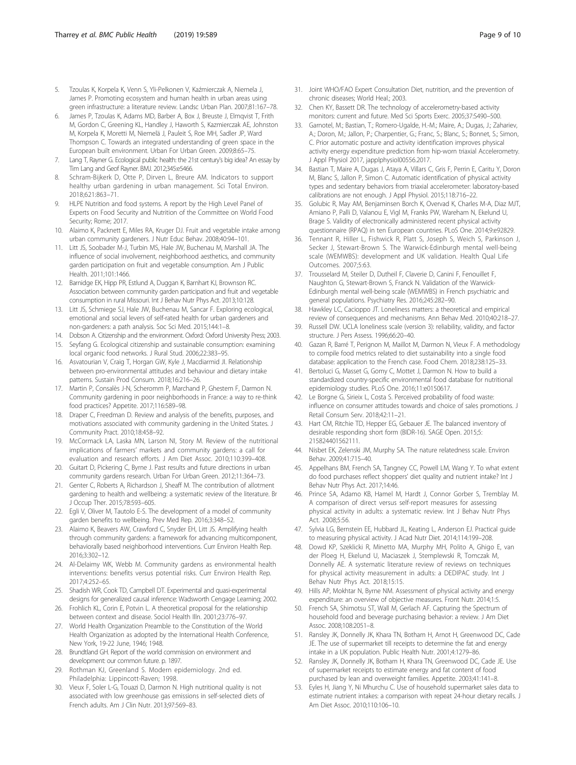- <span id="page-8-0"></span>5. Tzoulas K, Korpela K, Venn S, Yli-Pelkonen V, Kaźmierczak A, Niemela J, James P. Promoting ecosystem and human health in urban areas using green infrastructure: a literature review. Landsc Urban Plan. 2007;81:167–78.
- James P, Tzoulas K, Adams MD, Barber A, Box J, Breuste J, Elmqvist T, Frith M, Gordon C, Greening KL, Handley J, Haworth S, Kazmierczak AE, Johnston M, Korpela K, Moretti M, Niemelä J, Pauleit S, Roe MH, Sadler JP, Ward Thompson C. Towards an integrated understanding of green space in the European built environment. Urban For Urban Green. 2009;8:65–75.
- 7. Lang T, Rayner G. Ecological public health: the 21st century's big idea? An essay by Tim Lang and Geof Rayner. BMJ. 2012;345:e5466.
- 8. Schram-Bijkerk D, Otte P, Dirven L, Breure AM. Indicators to support healthy urban gardening in urban management. Sci Total Environ. 2018;621:863–71.
- 9. HLPE Nutrition and food systems. A report by the High Level Panel of Experts on Food Security and Nutrition of the Committee on World Food Security; Rome; 2017.
- 10. Alaimo K, Packnett E, Miles RA, Kruger DJ. Fruit and vegetable intake among urban community gardeners. J Nutr Educ Behav. 2008;40:94–101.
- 11. Litt JS, Soobader M-J, Turbin MS, Hale JW, Buchenau M, Marshall JA. The influence of social involvement, neighborhood aesthetics, and community garden participation on fruit and vegetable consumption. Am J Public Health. 2011;101:1466.
- 12. Barnidge EK, Hipp PR, Estlund A, Duggan K, Barnhart KJ, Brownson RC. Association between community garden participation and fruit and vegetable consumption in rural Missouri. Int J Behav Nutr Phys Act. 2013;10:128.
- 13. Litt JS, Schmiege SJ, Hale JW, Buchenau M, Sancar F, Exploring ecological, emotional and social levers of self-rated health for urban gardeners and non-gardeners: a path analysis. Soc Sci Med. 2015;144:1–8.
- 14. Dobson A. Citizenship and the environment. Oxford: Oxford University Press; 2003.
- 15. Seyfang G. Ecological citizenship and sustainable consumption: examining local organic food networks. J Rural Stud. 2006;22:383–95.
- 16. Asvatourian V, Craig T, Horgan GW, Kyle J, Macdiarmid JI. Relationship between pro-environmental attitudes and behaviour and dietary intake patterns. Sustain Prod Consum. 2018;16:216–26.
- 17. Martin P, Consalès J-N, Scheromm P, Marchand P, Ghestem F, Darmon N. Community gardening in poor neighborhoods in France: a way to re-think food practices? Appetite. 2017;116:589–98.
- 18. Draper C, Freedman D. Review and analysis of the benefits, purposes, and motivations associated with community gardening in the United States. J Community Pract. 2010;18:458–92.
- 19. McCormack LA, Laska MN, Larson NI, Story M. Review of the nutritional implications of farmers' markets and community gardens: a call for evaluation and research efforts. J Am Diet Assoc. 2010;110:399–408.
- 20. Guitart D, Pickering C, Byrne J. Past results and future directions in urban community gardens research. Urban For Urban Green. 2012;11:364–73.
- 21. Genter C, Roberts A, Richardson J, Sheaff M. The contribution of allotment gardening to health and wellbeing: a systematic review of the literature. Br J Occup Ther. 2015;78:593–605.
- 22. Egli V, Oliver M, Tautolo E-S. The development of a model of community garden benefits to wellbeing. Prev Med Rep. 2016;3:348–52.
- 23. Alaimo K, Beavers AW, Crawford C, Snyder EH, Litt JS. Amplifying health through community gardens: a framework for advancing multicomponent, behaviorally based neighborhood interventions. Curr Environ Health Rep. 2016;3:302–12.
- 24. Al-Delaimy WK, Webb M. Community gardens as environmental health interventions: benefits versus potential risks. Curr Environ Health Rep. 2017;4:252–65.
- 25. Shadish WR, Cook TD, Campbell DT. Experimental and quasi-experimental designs for generalized causal inference: Wadsworth Cengage Learning; 2002.
- 26. Frohlich KL, Corin E, Potvin L. A theoretical proposal for the relationship between context and disease. Sociol Health Illn. 2001;23:776–97.
- 27. World Health Organization Preamble to the Constitution of the World Health Organization as adopted by the International Health Conference, New York, 19-22 June, 1946; 1948.
- 28. Brundtland GH. Report of the world commission on environment and development: our common future. p. 1897.
- 29. Rothman KJ, Greenland S. Modern epidemiology. 2nd ed. Philadelphia: Lippincott-Raven; 1998.
- 30. Vieux F, Soler L-G, Touazi D, Darmon N. High nutritional quality is not associated with low greenhouse gas emissions in self-selected diets of French adults. Am J Clin Nutr. 2013;97:569–83.
- 31. Joint WHO/FAO Expert Consultation Diet, nutrition, and the prevention of chronic diseases; World Heal.; 2003.
- 32. Chen KY, Bassett DR. The technology of accelerometry-based activity monitors: current and future. Med Sci Sports Exerc. 2005;37:S490–500.
- 33. Garnotel, M.; Bastian, T.; Romero-Ugalde, H.-M.; Maire, A.; Dugas, J.; Zahariev, A.; Doron, M.; Jallon, P.; Charpentier, G.; Franc, S.; Blanc, S.; Bonnet, S.; Simon, C. Prior automatic posture and activity identification improves physical activity energy expenditure prediction from hip-worn triaxial Accelerometry. J Appl Physiol 2017, japplphysiol00556.2017.
- 34. Bastian T, Maire A, Dugas J, Ataya A, Villars C, Gris F, Perrin E, Caritu Y, Doron M, Blanc S, Jallon P, Simon C. Automatic identification of physical activity types and sedentary behaviors from triaxial accelerometer: laboratory-based calibrations are not enough. J Appl Physiol. 2015;118:716–22.
- 35. Golubic R, May AM, Benjaminsen Borch K, Overvad K, Charles M-A, Diaz MJT, Amiano P, Palli D, Valanou E, Vigl M, Franks PW, Wareham N, Ekelund U, Brage S. Validity of electronically administered recent physical activity questionnaire (RPAQ) in ten European countries. PLoS One. 2014;9:e92829.
- Tennant R, Hiller L, Fishwick R, Platt S, Joseph S, Weich S, Parkinson J, Secker J, Stewart-Brown S. The Warwick-Edinburgh mental well-being scale (WEMWBS): development and UK validation. Health Qual Life Outcomes. 2007;5:63.
- 37. Trousselard M, Steiler D, Dutheil F, Claverie D, Canini F, Fenouillet F, Naughton G, Stewart-Brown S, Franck N. Validation of the Warwick-Edinburgh mental well-being scale (WEMWBS) in French psychiatric and general populations. Psychiatry Res. 2016;245:282–90.
- 38. Hawkley LC, Cacioppo JT. Loneliness matters: a theoretical and empirical review of consequences and mechanisms. Ann Behav Med. 2010;40:218–27.
- 39. Russell DW. UCLA loneliness scale (version 3): reliability, validity, and factor structure. J Pers Assess. 1996;66:20–40.
- 40. Gazan R, Barré T, Perignon M, Maillot M, Darmon N, Vieux F. A methodology to compile food metrics related to diet sustainability into a single food database: application to the French case. Food Chem. 2018;238:125–33.
- 41. Bertoluci G, Masset G, Gomy C, Mottet J, Darmon N. How to build a standardized country-specific environmental food database for nutritional epidemiology studies. PLoS One. 2016;11:e0150617.
- 42. Le Borgne G, Sirieix L, Costa S. Perceived probability of food waste: influence on consumer attitudes towards and choice of sales promotions. J Retail Consum Serv. 2018;42:11–21.
- 43. Hart CM, Ritchie TD, Hepper EG, Gebauer JE. The balanced inventory of desirable responding short form (BIDR-16). SAGE Open. 2015;5: 215824401562111.
- 44. Nisbet EK, Zelenski JM, Murphy SA. The nature relatedness scale. Environ Behav. 2009;41:715–40.
- 45. Appelhans BM, French SA, Tangney CC, Powell LM, Wang Y. To what extent do food purchases reflect shoppers' diet quality and nutrient intake? Int J Behav Nutr Phys Act. 2017;14:46.
- 46. Prince SA, Adamo KB, Hamel M, Hardt J, Connor Gorber S, Tremblay M. A comparison of direct versus self-report measures for assessing physical activity in adults: a systematic review. Int J Behav Nutr Phys Act. 2008;5:56.
- 47. Sylvia LG, Bernstein EE, Hubbard JL, Keating L, Anderson EJ. Practical guide to measuring physical activity. J Acad Nutr Diet. 2014;114:199–208.
- 48. Dowd KP, Szeklicki R, Minetto MA, Murphy MH, Polito A, Ghigo E, van der Ploeg H, Ekelund U, Maciaszek J, Stemplewski R, Tomczak M, Donnelly AE. A systematic literature review of reviews on techniques for physical activity measurement in adults: a DEDIPAC study. Int J Behav Nutr Phys Act. 2018;15:15.
- 49. Hills AP, Mokhtar N, Byrne NM. Assessment of physical activity and energy expenditure: an overview of objective measures. Front Nutr. 2014;1:5.
- 50. French SA, Shimotsu ST, Wall M, Gerlach AF. Capturing the Spectrum of household food and beverage purchasing behavior: a review. J Am Diet Assoc. 2008;108:2051–8.
- 51. Ransley JK, Donnelly JK, Khara TN, Botham H, Arnot H, Greenwood DC, Cade JE. The use of supermarket till receipts to determine the fat and energy intake in a UK population. Public Health Nutr. 2001;4:1279–86.
- 52. Ransley JK, Donnelly JK, Botham H, Khara TN, Greenwood DC, Cade JE. Use of supermarket receipts to estimate energy and fat content of food purchased by lean and overweight families. Appetite. 2003;41:141–8.
- 53. Eyles H, Jiang Y, Ni Mhurchu C. Use of household supermarket sales data to estimate nutrient intakes: a comparison with repeat 24-hour dietary recalls. J Am Diet Assoc. 2010;110:106–10.